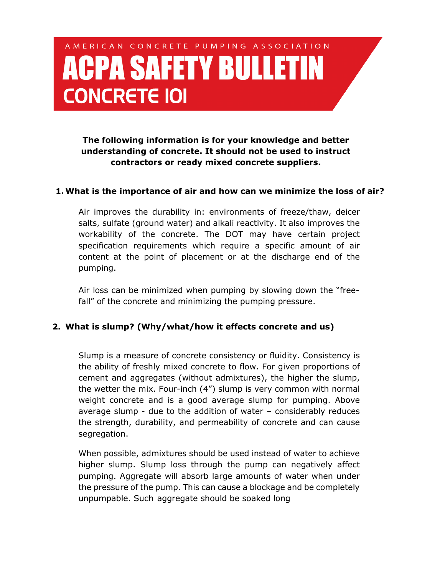# AMERICAN CONCRETE PUMPING ASSOCIATION **ACPA SAFETY BULLETIN CONCRETE IOI**

**The following information is for your knowledge and better understanding of concrete. It should not be used to instruct contractors or ready mixed concrete suppliers.**

#### **1.What is the importance of air and how can we minimize the loss of air?**

Air improves the durability in: environments of freeze/thaw, deicer salts, sulfate (ground water) and alkali reactivity. It also improves the workability of the concrete. The DOT may have certain project specification requirements which require a specific amount of air content at the point of placement or at the discharge end of the pumping.

Air loss can be minimized when pumping by slowing down the "freefall" of the concrete and minimizing the pumping pressure.

#### **2. What is slump? (Why/what/how it effects concrete and us)**

Slump is a measure of concrete consistency or fluidity. Consistency is the ability of freshly mixed concrete to flow. For given proportions of cement and aggregates (without admixtures), the higher the slump, the wetter the mix. Four-inch (4") slump is very common with normal weight concrete and is a good average slump for pumping. Above average slump - due to the addition of water – considerably reduces the strength, durability, and permeability of concrete and can cause segregation.

When possible, admixtures should be used instead of water to achieve higher slump. Slump loss through the pump can negatively affect pumping. Aggregate will absorb large amounts of water when under the pressure of the pump. This can cause a blockage and be completely unpumpable. Such aggregate should be soaked long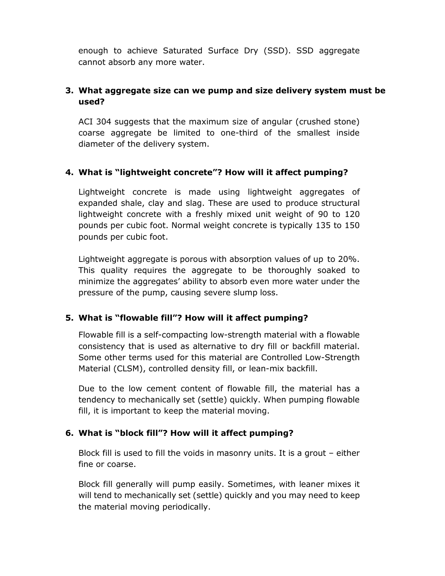enough to achieve Saturated Surface Dry (SSD). SSD aggregate cannot absorb any more water.

## **3. What aggregate size can we pump and size delivery system must be used?**

ACI 304 suggests that the maximum size of angular (crushed stone) coarse aggregate be limited to one-third of the smallest inside diameter of the delivery system.

## **4. What is "lightweight concrete"? How will it affect pumping?**

Lightweight concrete is made using lightweight aggregates of expanded shale, clay and slag. These are used to produce structural lightweight concrete with a freshly mixed unit weight of 90 to 120 pounds per cubic foot. Normal weight concrete is typically 135 to 150 pounds per cubic foot.

Lightweight aggregate is porous with absorption values of up to 20%. This quality requires the aggregate to be thoroughly soaked to minimize the aggregates' ability to absorb even more water under the pressure of the pump, causing severe slump loss.

## **5. What is "flowable fill"? How will it affect pumping?**

Flowable fill is a self-compacting low-strength material with a flowable consistency that is used as alternative to dry fill or backfill material. Some other terms used for this material are Controlled Low-Strength Material (CLSM), controlled density fill, or lean-mix backfill.

Due to the low cement content of flowable fill, the material has a tendency to mechanically set (settle) quickly. When pumping flowable fill, it is important to keep the material moving.

#### **6. What is "block fill"? How will it affect pumping?**

Block fill is used to fill the voids in masonry units. It is a grout – either fine or coarse.

Block fill generally will pump easily. Sometimes, with leaner mixes it will tend to mechanically set (settle) quickly and you may need to keep the material moving periodically.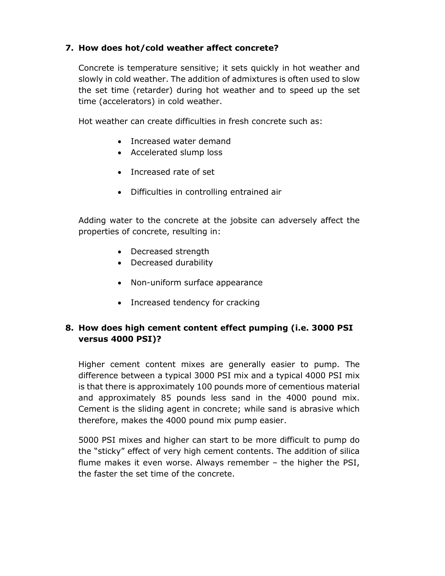## **7. How does hot/cold weather affect concrete?**

Concrete is temperature sensitive; it sets quickly in hot weather and slowly in cold weather. The addition of admixtures is often used to slow the set time (retarder) during hot weather and to speed up the set time (accelerators) in cold weather.

Hot weather can create difficulties in fresh concrete such as:

- Increased water demand
- Accelerated slump loss
- Increased rate of set
- Difficulties in controlling entrained air

Adding water to the concrete at the jobsite can adversely affect the properties of concrete, resulting in:

- Decreased strength
- Decreased durability
- Non-uniform surface appearance
- Increased tendency for cracking

## **8. How does high cement content effect pumping (i.e. 3000 PSI versus 4000 PSI)?**

Higher cement content mixes are generally easier to pump. The difference between a typical 3000 PSI mix and a typical 4000 PSI mix is that there is approximately 100 pounds more of cementious material and approximately 85 pounds less sand in the 4000 pound mix. Cement is the sliding agent in concrete; while sand is abrasive which therefore, makes the 4000 pound mix pump easier.

5000 PSI mixes and higher can start to be more difficult to pump do the "sticky" effect of very high cement contents. The addition of silica flume makes it even worse. Always remember – the higher the PSI, the faster the set time of the concrete.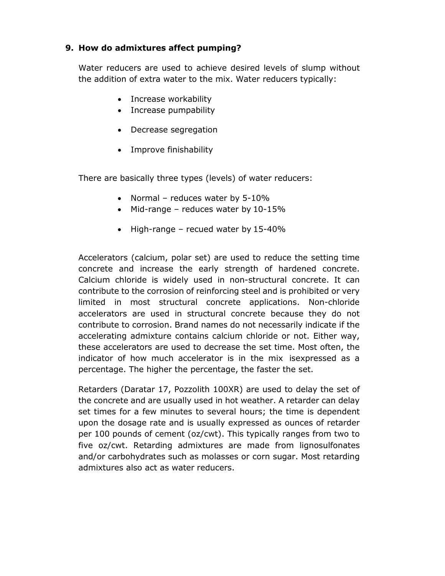## **9. How do admixtures affect pumping?**

Water reducers are used to achieve desired levels of slump without the addition of extra water to the mix. Water reducers typically:

- Increase workability
- Increase pumpability
- Decrease segregation
- Improve finishability

There are basically three types (levels) of water reducers:

- Normal reduces water by 5-10%
- Mid-range reduces water by 10-15%
- High-range recued water by 15-40%

Accelerators (calcium, polar set) are used to reduce the setting time concrete and increase the early strength of hardened concrete. Calcium chloride is widely used in non-structural concrete. It can contribute to the corrosion of reinforcing steel and is prohibited or very limited in most structural concrete applications. Non-chloride accelerators are used in structural concrete because they do not contribute to corrosion. Brand names do not necessarily indicate if the accelerating admixture contains calcium chloride or not. Either way, these accelerators are used to decrease the set time. Most often, the indicator of how much accelerator is in the mix isexpressed as a percentage. The higher the percentage, the faster the set.

Retarders (Daratar 17, Pozzolith 100XR) are used to delay the set of the concrete and are usually used in hot weather. A retarder can delay set times for a few minutes to several hours; the time is dependent upon the dosage rate and is usually expressed as ounces of retarder per 100 pounds of cement (oz/cwt). This typically ranges from two to five oz/cwt. Retarding admixtures are made from lignosulfonates and/or carbohydrates such as molasses or corn sugar. Most retarding admixtures also act as water reducers.